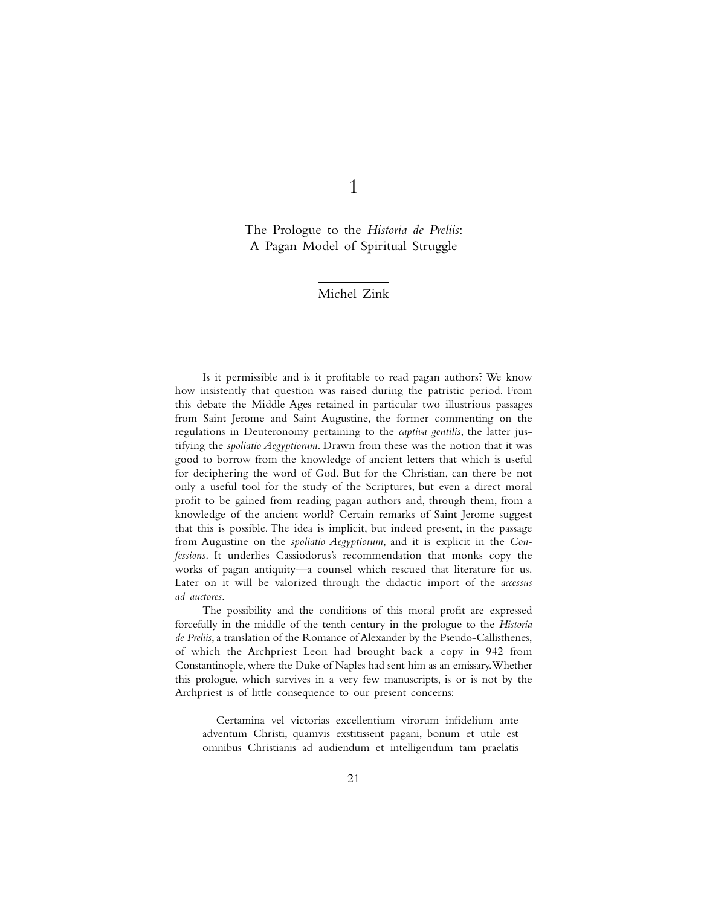1

## The Prologue to the *Historia de Preliis*: A Pagan Model of Spiritual Struggle

## Michel Zink

Is it permissible and is it profitable to read pagan authors? We know how insistently that question was raised during the patristic period. From this debate the Middle Ages retained in particular two illustrious passages from Saint Jerome and Saint Augustine, the former commenting on the regulations in Deuteronomy pertaining to the *captiva gentilis*, the latter justifying the *spoliatio Aegyptiorum*. Drawn from these was the notion that it was good to borrow from the knowledge of ancient letters that which is useful for deciphering the word of God. But for the Christian, can there be not only a useful tool for the study of the Scriptures, but even a direct moral profit to be gained from reading pagan authors and, through them, from a knowledge of the ancient world? Certain remarks of Saint Jerome suggest that this is possible. The idea is implicit, but indeed present, in the passage from Augustine on the *spoliatio Aegyptiorum*, and it is explicit in the *Confessions*. It underlies Cassiodorus's recommendation that monks copy the works of pagan antiquity—a counsel which rescued that literature for us. Later on it will be valorized through the didactic import of the *accessus ad auctores*.

The possibility and the conditions of this moral profit are expressed forcefully in the middle of the tenth century in the prologue to the *Historia de Preliis*, a translation of the Romance of Alexander by the Pseudo-Callisthenes, of which the Archpriest Leon had brought back a copy in 942 from Constantinople, where the Duke of Naples had sent him as an emissary. Whether this prologue, which survives in a very few manuscripts, is or is not by the Archpriest is of little consequence to our present concerns:

Certamina vel victorias excellentium virorum infidelium ante adventum Christi, quamvis exstitissent pagani, bonum et utile est omnibus Christianis ad audiendum et intelligendum tam praelatis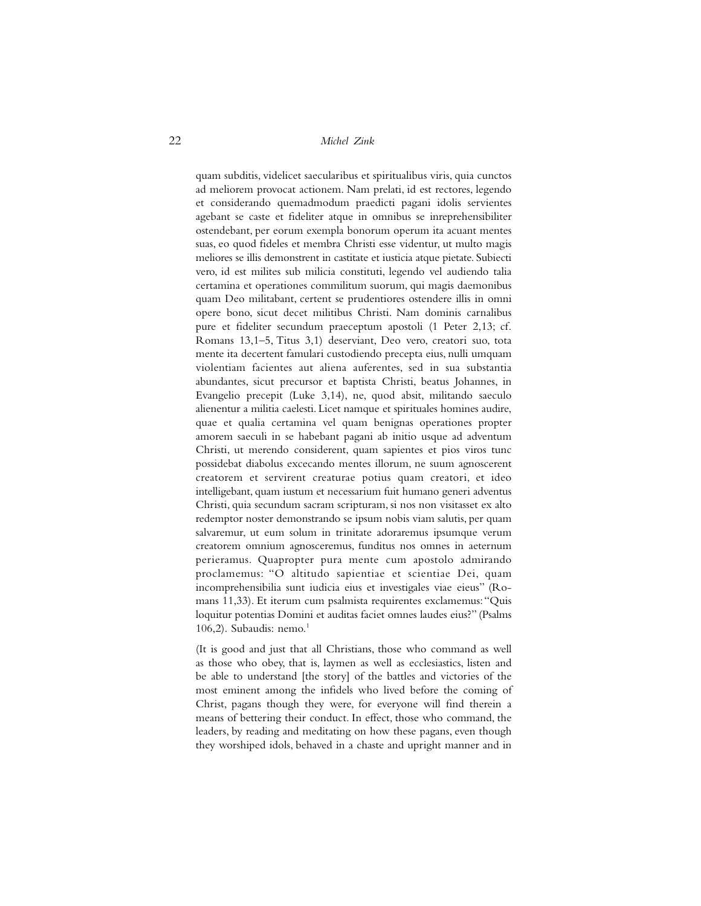quam subditis, videlicet saecularibus et spiritualibus viris, quia cunctos ad meliorem provocat actionem. Nam prelati, id est rectores, legendo et considerando quemadmodum praedicti pagani idolis servientes agebant se caste et fideliter atque in omnibus se inreprehensibiliter ostendebant, per eorum exempla bonorum operum ita acuant mentes suas, eo quod fideles et membra Christi esse videntur, ut multo magis meliores se illis demonstrent in castitate et iusticia atque pietate. Subiecti vero, id est milites sub milicia constituti, legendo vel audiendo talia certamina et operationes commilitum suorum, qui magis daemonibus quam Deo militabant, certent se prudentiores ostendere illis in omni opere bono, sicut decet militibus Christi. Nam dominis carnalibus pure et fideliter secundum praeceptum apostoli (1 Peter 2,13; cf. Romans 13,1–5, Titus 3,1) deserviant, Deo vero, creatori suo, tota mente ita decertent famulari custodiendo precepta eius, nulli umquam violentiam facientes aut aliena auferentes, sed in sua substantia abundantes, sicut precursor et baptista Christi, beatus Johannes, in Evangelio precepit (Luke 3,14), ne, quod absit, militando saeculo alienentur a militia caelesti. Licet namque et spirituales homines audire, quae et qualia certamina vel quam benignas operationes propter amorem saeculi in se habebant pagani ab initio usque ad adventum Christi, ut merendo considerent, quam sapientes et pios viros tunc possidebat diabolus excecando mentes illorum, ne suum agnoscerent creatorem et servirent creaturae potius quam creatori, et ideo intelligebant, quam iustum et necessarium fuit humano generi adventus Christi, quia secundum sacram scripturam, si nos non visitasset ex alto redemptor noster demonstrando se ipsum nobis viam salutis, per quam salvaremur, ut eum solum in trinitate adoraremus ipsumque verum creatorem omnium agnosceremus, funditus nos omnes in aeternum perieramus. Quapropter pura mente cum apostolo admirando proclamemus: "O altitudo sapientiae et scientiae Dei, quam incomprehensibilia sunt iudicia eius et investigales viae eieus" (Romans 11,33). Et iterum cum psalmista requirentes exclamemus: "Quis loquitur potentias Domini et auditas faciet omnes laudes eius?" (Psalms 106,2). Subaudis: nemo. $<sup>1</sup>$ </sup>

(It is good and just that all Christians, those who command as well as those who obey, that is, laymen as well as ecclesiastics, listen and be able to understand [the story] of the battles and victories of the most eminent among the infidels who lived before the coming of Christ, pagans though they were, for everyone will find therein a means of bettering their conduct. In effect, those who command, the leaders, by reading and meditating on how these pagans, even though they worshiped idols, behaved in a chaste and upright manner and in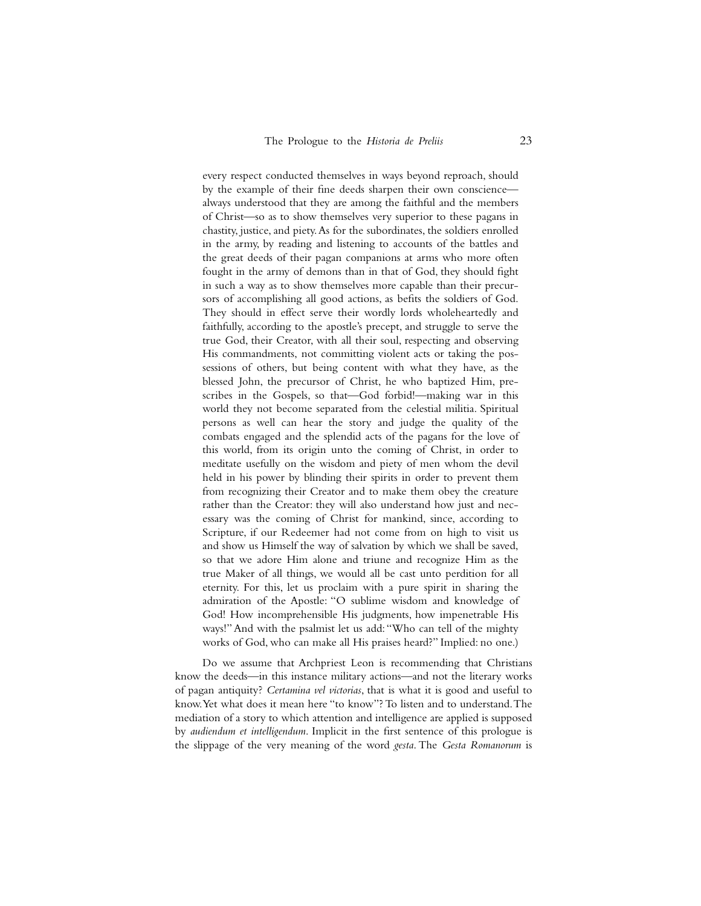every respect conducted themselves in ways beyond reproach, should by the example of their fine deeds sharpen their own conscience always understood that they are among the faithful and the members of Christ—so as to show themselves very superior to these pagans in chastity, justice, and piety. As for the subordinates, the soldiers enrolled in the army, by reading and listening to accounts of the battles and the great deeds of their pagan companions at arms who more often fought in the army of demons than in that of God, they should fight in such a way as to show themselves more capable than their precursors of accomplishing all good actions, as befits the soldiers of God. They should in effect serve their wordly lords wholeheartedly and faithfully, according to the apostle's precept, and struggle to serve the true God, their Creator, with all their soul, respecting and observing His commandments, not committing violent acts or taking the possessions of others, but being content with what they have, as the blessed John, the precursor of Christ, he who baptized Him, prescribes in the Gospels, so that—God forbid!—making war in this world they not become separated from the celestial militia. Spiritual persons as well can hear the story and judge the quality of the combats engaged and the splendid acts of the pagans for the love of this world, from its origin unto the coming of Christ, in order to meditate usefully on the wisdom and piety of men whom the devil held in his power by blinding their spirits in order to prevent them from recognizing their Creator and to make them obey the creature rather than the Creator: they will also understand how just and necessary was the coming of Christ for mankind, since, according to Scripture, if our Redeemer had not come from on high to visit us and show us Himself the way of salvation by which we shall be saved, so that we adore Him alone and triune and recognize Him as the true Maker of all things, we would all be cast unto perdition for all eternity. For this, let us proclaim with a pure spirit in sharing the admiration of the Apostle: "O sublime wisdom and knowledge of God! How incomprehensible His judgments, how impenetrable His ways!" And with the psalmist let us add: "Who can tell of the mighty works of God, who can make all His praises heard?" Implied: no one.)

Do we assume that Archpriest Leon is recommending that Christians know the deeds—in this instance military actions—and not the literary works of pagan antiquity? *Certamina vel victorias*, that is what it is good and useful to know. Yet what does it mean here "to know"? To listen and to understand. The mediation of a story to which attention and intelligence are applied is supposed by *audiendum et intelligendum*. Implicit in the first sentence of this prologue is the slippage of the very meaning of the word *gesta*. The *Gesta Romanorum* is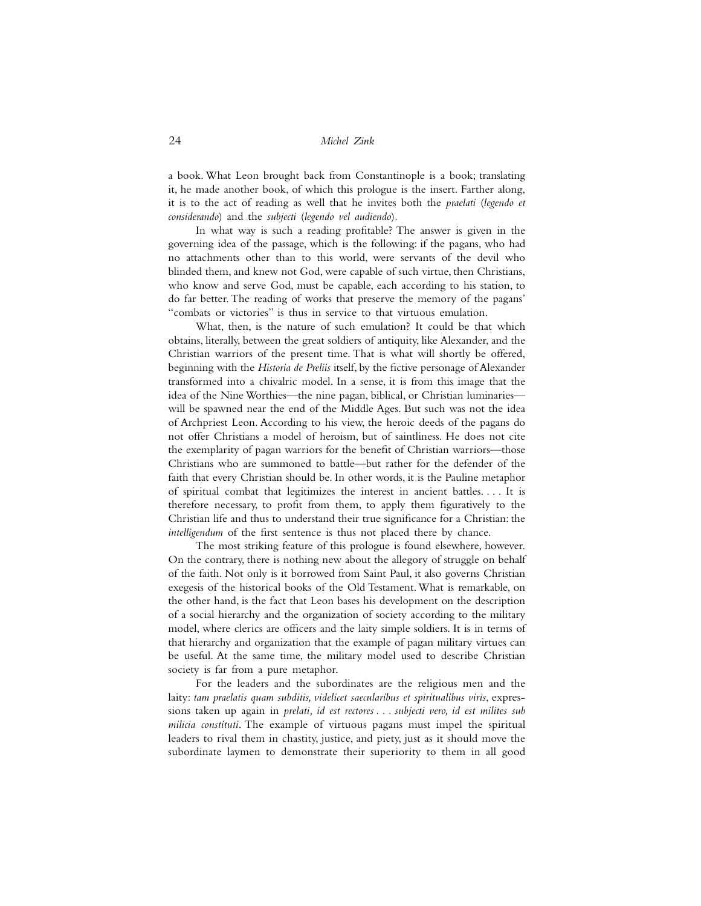a book. What Leon brought back from Constantinople is a book; translating it, he made another book, of which this prologue is the insert. Farther along, it is to the act of reading as well that he invites both the *praelati* (*legendo et considerando*) and the *subjecti* (*legendo vel audiendo*).

In what way is such a reading profitable? The answer is given in the governing idea of the passage, which is the following: if the pagans, who had no attachments other than to this world, were servants of the devil who blinded them, and knew not God, were capable of such virtue, then Christians, who know and serve God, must be capable, each according to his station, to do far better. The reading of works that preserve the memory of the pagans' "combats or victories" is thus in service to that virtuous emulation.

What, then, is the nature of such emulation? It could be that which obtains, literally, between the great soldiers of antiquity, like Alexander, and the Christian warriors of the present time. That is what will shortly be offered, beginning with the *Historia de Preliis* itself, by the fictive personage of Alexander transformed into a chivalric model. In a sense, it is from this image that the idea of the Nine Worthies—the nine pagan, biblical, or Christian luminaries will be spawned near the end of the Middle Ages. But such was not the idea of Archpriest Leon. According to his view, the heroic deeds of the pagans do not offer Christians a model of heroism, but of saintliness. He does not cite the exemplarity of pagan warriors for the benefit of Christian warriors—those Christians who are summoned to battle—but rather for the defender of the faith that every Christian should be. In other words, it is the Pauline metaphor of spiritual combat that legitimizes the interest in ancient battles. . . . It is therefore necessary, to profit from them, to apply them figuratively to the Christian life and thus to understand their true significance for a Christian: the *intelligendum* of the first sentence is thus not placed there by chance.

The most striking feature of this prologue is found elsewhere, however. On the contrary, there is nothing new about the allegory of struggle on behalf of the faith. Not only is it borrowed from Saint Paul, it also governs Christian exegesis of the historical books of the Old Testament. What is remarkable, on the other hand, is the fact that Leon bases his development on the description of a social hierarchy and the organization of society according to the military model, where clerics are officers and the laity simple soldiers. It is in terms of that hierarchy and organization that the example of pagan military virtues can be useful. At the same time, the military model used to describe Christian society is far from a pure metaphor.

For the leaders and the subordinates are the religious men and the laity: *tam praelatis quam subditis, videlicet saecularibus et spiritualibus viris*, expressions taken up again in *prelati, id est rectores . . . subjecti vero, id est milites sub milicia constituti*. The example of virtuous pagans must impel the spiritual leaders to rival them in chastity, justice, and piety, just as it should move the subordinate laymen to demonstrate their superiority to them in all good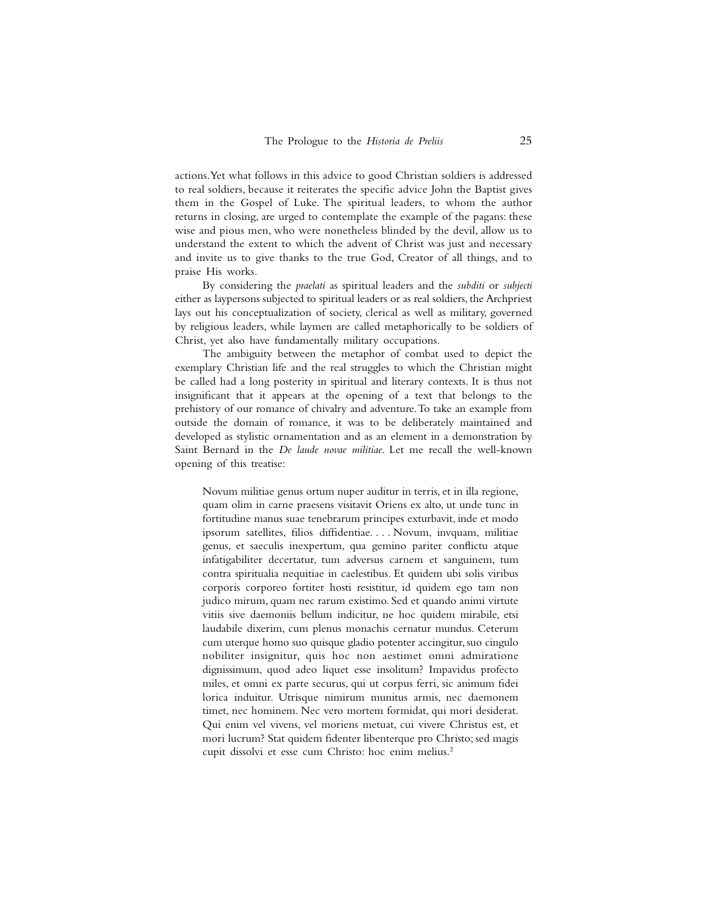actions. Yet what follows in this advice to good Christian soldiers is addressed to real soldiers, because it reiterates the specific advice John the Baptist gives them in the Gospel of Luke. The spiritual leaders, to whom the author returns in closing, are urged to contemplate the example of the pagans: these wise and pious men, who were nonetheless blinded by the devil, allow us to understand the extent to which the advent of Christ was just and necessary and invite us to give thanks to the true God, Creator of all things, and to praise His works.

By considering the *praelati* as spiritual leaders and the *subditi* or *subjecti* either as laypersons subjected to spiritual leaders or as real soldiers, the Archpriest lays out his conceptualization of society, clerical as well as military, governed by religious leaders, while laymen are called metaphorically to be soldiers of Christ, yet also have fundamentally military occupations.

The ambiguity between the metaphor of combat used to depict the exemplary Christian life and the real struggles to which the Christian might be called had a long posterity in spiritual and literary contexts. It is thus not insignificant that it appears at the opening of a text that belongs to the prehistory of our romance of chivalry and adventure. To take an example from outside the domain of romance, it was to be deliberately maintained and developed as stylistic ornamentation and as an element in a demonstration by Saint Bernard in the *De laude novae militiae*. Let me recall the well-known opening of this treatise:

Novum militiae genus ortum nuper auditur in terris, et in illa regione, quam olim in carne praesens visitavit Oriens ex alto, ut unde tunc in fortitudine manus suae tenebrarum principes exturbavit, inde et modo ipsorum satellites, filios diffidentiae. . . . Novum, invquam, militiae genus, et saeculis inexpertum, qua gemino pariter conflictu atque infatigabiliter decertatur, tum adversus carnem et sanguinem, tum contra spiritualia nequitiae in caelestibus. Et quidem ubi solis viribus corporis corporeo fortiter hosti resistitur, id quidem ego tam non judico mirum, quam nec rarum existimo. Sed et quando animi virtute vitiis sive daemoniis bellum indicitur, ne hoc quidem mirabile, etsi laudabile dixerim, cum plenus monachis cernatur mundus. Ceterum cum uterque homo suo quisque gladio potenter accingitur, suo cingulo nobiliter insignitur, quis hoc non aestimet omni admiratione dignissimum, quod adeo liquet esse insolitum? Impavidus profecto miles, et omni ex parte securus, qui ut corpus ferri, sic animum fidei lorica induitur. Utrisque nimirum munitus armis, nec daemonem timet, nec hominem. Nec vero mortem formidat, qui mori desiderat. Qui enim vel vivens, vel moriens metuat, cui vivere Christus est, et mori lucrum? Stat quidem fidenter libenterque pro Christo; sed magis cupit dissolvi et esse cum Christo: hoc enim melius.2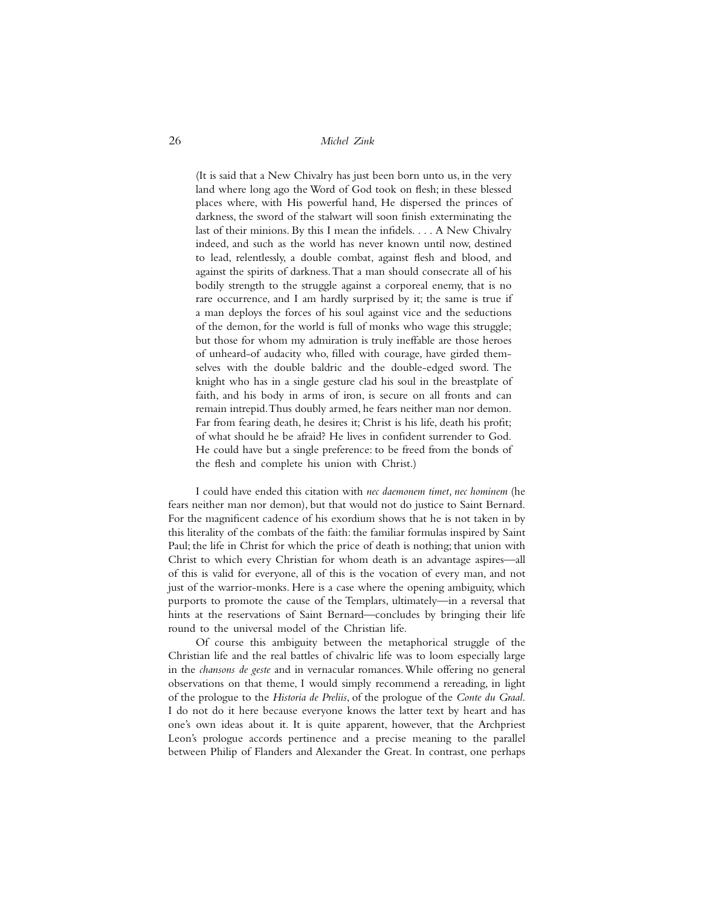(It is said that a New Chivalry has just been born unto us, in the very land where long ago the Word of God took on flesh; in these blessed places where, with His powerful hand, He dispersed the princes of darkness, the sword of the stalwart will soon finish exterminating the last of their minions. By this I mean the infidels. . . . A New Chivalry indeed, and such as the world has never known until now, destined to lead, relentlessly, a double combat, against flesh and blood, and against the spirits of darkness. That a man should consecrate all of his bodily strength to the struggle against a corporeal enemy, that is no rare occurrence, and I am hardly surprised by it; the same is true if a man deploys the forces of his soul against vice and the seductions of the demon, for the world is full of monks who wage this struggle; but those for whom my admiration is truly ineffable are those heroes of unheard-of audacity who, filled with courage, have girded themselves with the double baldric and the double-edged sword. The knight who has in a single gesture clad his soul in the breastplate of faith, and his body in arms of iron, is secure on all fronts and can remain intrepid. Thus doubly armed, he fears neither man nor demon. Far from fearing death, he desires it; Christ is his life, death his profit; of what should he be afraid? He lives in confident surrender to God. He could have but a single preference: to be freed from the bonds of the flesh and complete his union with Christ.)

I could have ended this citation with *nec daemonem timet, nec hominem* (he fears neither man nor demon), but that would not do justice to Saint Bernard. For the magnificent cadence of his exordium shows that he is not taken in by this literality of the combats of the faith: the familiar formulas inspired by Saint Paul; the life in Christ for which the price of death is nothing; that union with Christ to which every Christian for whom death is an advantage aspires—all of this is valid for everyone, all of this is the vocation of every man, and not just of the warrior-monks. Here is a case where the opening ambiguity, which purports to promote the cause of the Templars, ultimately—in a reversal that hints at the reservations of Saint Bernard—concludes by bringing their life round to the universal model of the Christian life.

Of course this ambiguity between the metaphorical struggle of the Christian life and the real battles of chivalric life was to loom especially large in the *chansons de geste* and in vernacular romances. While offering no general observations on that theme, I would simply recommend a rereading, in light of the prologue to the *Historia de Preliis*, of the prologue of the *Conte du Graal*. I do not do it here because everyone knows the latter text by heart and has one's own ideas about it. It is quite apparent, however, that the Archpriest Leon's prologue accords pertinence and a precise meaning to the parallel between Philip of Flanders and Alexander the Great. In contrast, one perhaps